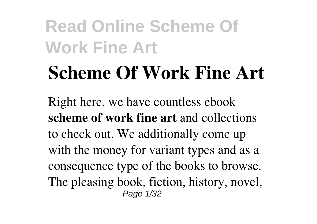# **Scheme Of Work Fine Art**

Right here, we have countless ebook **scheme of work fine art** and collections to check out. We additionally come up with the money for variant types and as a consequence type of the books to browse. The pleasing book, fiction, history, novel, Page 1/32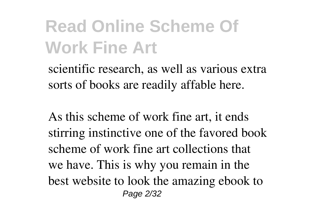scientific research, as well as various extra sorts of books are readily affable here.

As this scheme of work fine art, it ends stirring instinctive one of the favored book scheme of work fine art collections that we have. This is why you remain in the best website to look the amazing ebook to Page 2/32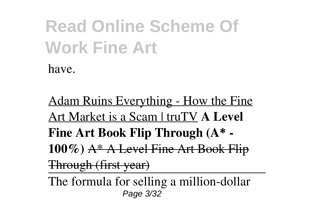Adam Ruins Everything - How the Fine Art Market is a Scam | truTV **A Level Fine Art Book Flip Through (A\* - 100%)** A\* A Level Fine Art Book Flip Through (first year)

The formula for selling a million-dollar Page 3/32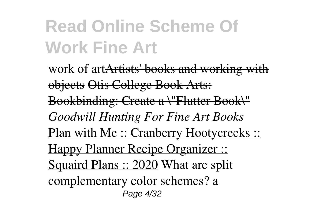work of artArtists' books and working with objects Otis College Book Arts: Bookbinding: Create a \"Flutter Book\" *Goodwill Hunting For Fine Art Books* Plan with Me :: Cranberry Hootycreeks :: Happy Planner Recipe Organizer :: Squaird Plans :: 2020 What are split complementary color schemes? a Page 4/32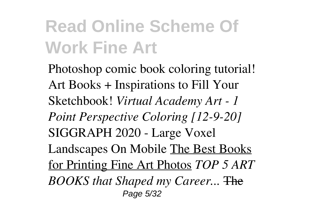Photoshop comic book coloring tutorial! Art Books + Inspirations to Fill Your Sketchbook! *Virtual Academy Art - 1 Point Perspective Coloring [12-9-20]* SIGGRAPH 2020 - Large Voxel Landscapes On Mobile The Best Books for Printing Fine Art Photos *TOP 5 ART BOOKS that Shaped my Career...* The Page 5/32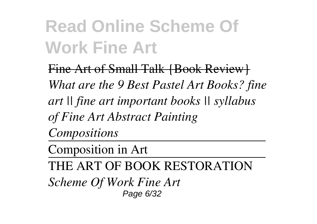Fine Art of Small Talk {Book Review} *What are the 9 Best Pastel Art Books? fine art || fine art important books || syllabus of Fine Art Abstract Painting Compositions*

Composition in Art

THE ART OF BOOK RESTORATION

*Scheme Of Work Fine Art* Page 6/32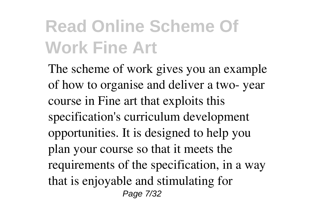The scheme of work gives you an example of how to organise and deliver a two- year course in Fine art that exploits this specification's curriculum development opportunities. It is designed to help you plan your course so that it meets the requirements of the specification, in a way that is enjoyable and stimulating for Page 7/32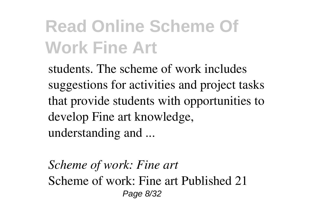students. The scheme of work includes suggestions for activities and project tasks that provide students with opportunities to develop Fine art knowledge, understanding and ...

*Scheme of work: Fine art* Scheme of work: Fine art Published 21 Page 8/32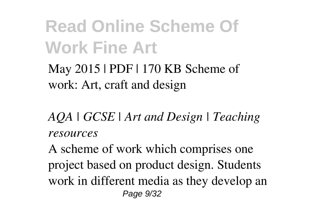May 2015 | PDF | 170 KB Scheme of work: Art, craft and design

*AQA | GCSE | Art and Design | Teaching resources*

A scheme of work which comprises one project based on product design. Students work in different media as they develop an Page 9/32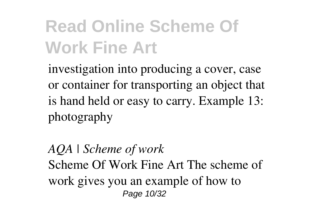investigation into producing a cover, case or container for transporting an object that is hand held or easy to carry. Example 13: photography

*AQA | Scheme of work* Scheme Of Work Fine Art The scheme of work gives you an example of how to Page 10/32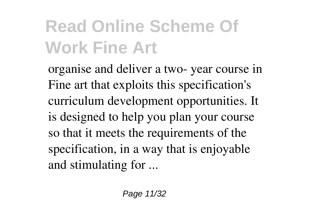organise and deliver a two- year course in Fine art that exploits this specification's curriculum development opportunities. It is designed to help you plan your course so that it meets the requirements of the specification, in a way that is enjoyable and stimulating for ...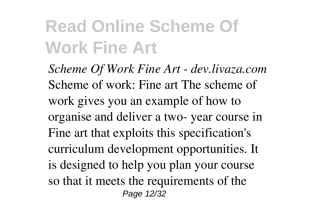*Scheme Of Work Fine Art - dev.livaza.com* Scheme of work: Fine art The scheme of work gives you an example of how to organise and deliver a two- year course in Fine art that exploits this specification's curriculum development opportunities. It is designed to help you plan your course so that it meets the requirements of the Page 12/32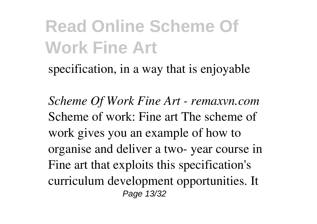specification, in a way that is enjoyable

*Scheme Of Work Fine Art - remaxvn.com* Scheme of work: Fine art The scheme of work gives you an example of how to organise and deliver a two- year course in Fine art that exploits this specification's curriculum development opportunities. It Page 13/32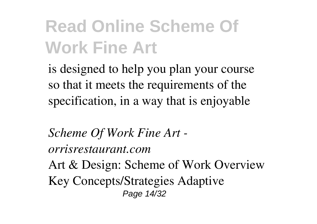is designed to help you plan your course so that it meets the requirements of the specification, in a way that is enjoyable

*Scheme Of Work Fine Art orrisrestaurant.com*

Art & Design: Scheme of Work Overview Key Concepts/Strategies Adaptive Page 14/32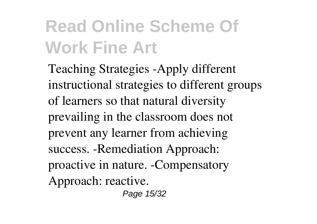Teaching Strategies -Apply different instructional strategies to different groups of learners so that natural diversity prevailing in the classroom does not prevent any learner from achieving success. -Remediation Approach: proactive in nature. -Compensatory Approach: reactive.

Page 15/32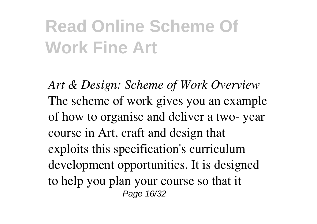*Art & Design: Scheme of Work Overview* The scheme of work gives you an example of how to organise and deliver a two- year course in Art, craft and design that exploits this specification's curriculum development opportunities. It is designed to help you plan your course so that it Page 16/32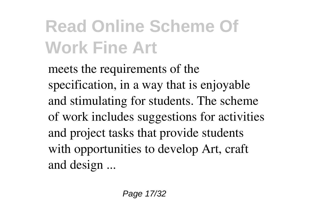meets the requirements of the specification, in a way that is enjoyable and stimulating for students. The scheme of work includes suggestions for activities and project tasks that provide students with opportunities to develop Art, craft and design ...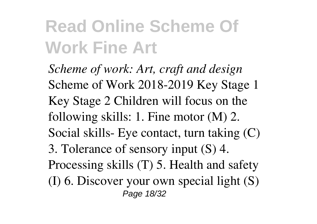*Scheme of work: Art, craft and design* Scheme of Work 2018-2019 Key Stage 1 Key Stage 2 Children will focus on the following skills: 1. Fine motor (M) 2. Social skills- Eye contact, turn taking (C) 3. Tolerance of sensory input (S) 4. Processing skills (T) 5. Health and safety (I) 6. Discover your own special light (S) Page 18/32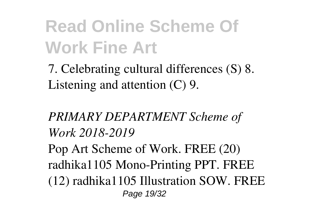7. Celebrating cultural differences (S) 8. Listening and attention (C) 9.

#### *PRIMARY DEPARTMENT Scheme of Work 2018-2019*

Pop Art Scheme of Work. FREE (20) radhika1105 Mono-Printing PPT. FREE (12) radhika1105 Illustration SOW. FREE Page 19/32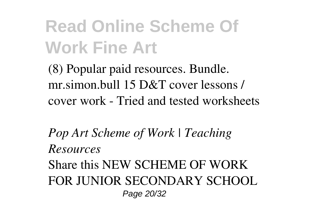(8) Popular paid resources. Bundle. mr.simon.bull 15 D&T cover lessons / cover work - Tried and tested worksheets

*Pop Art Scheme of Work | Teaching Resources*

Share this NEW SCHEME OF WORK FOR JUNIOR SECONDARY SCHOOL Page 20/32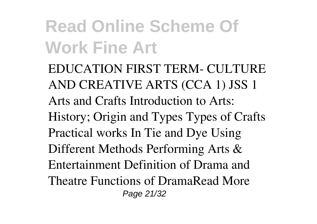EDUCATION FIRST TERM- CULTURE AND CREATIVE ARTS (CCA 1) JSS 1 Arts and Crafts Introduction to Arts: History; Origin and Types Types of Crafts Practical works In Tie and Dye Using Different Methods Performing Arts & Entertainment Definition of Drama and Theatre Functions of DramaRead More Page 21/32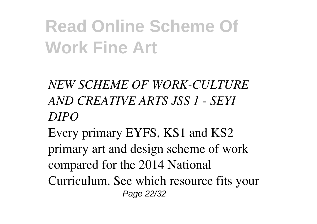- *NEW SCHEME OF WORK-CULTURE AND CREATIVE ARTS JSS 1 - SEYI DIPO*
- Every primary EYFS, KS1 and KS2 primary art and design scheme of work compared for the 2014 National Curriculum. See which resource fits your Page 22/32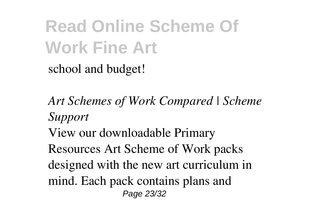school and budget!

*Art Schemes of Work Compared | Scheme Support*

View our downloadable Primary

Resources Art Scheme of Work packs designed with the new art curriculum in mind. Each pack contains plans and Page 23/32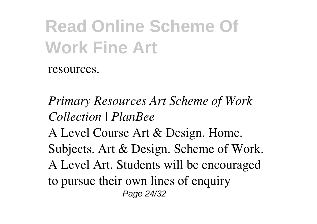resources.

*Primary Resources Art Scheme of Work Collection | PlanBee* A Level Course Art & Design. Home. Subjects. Art & Design. Scheme of Work. A Level Art. Students will be encouraged to pursue their own lines of enquiry Page 24/32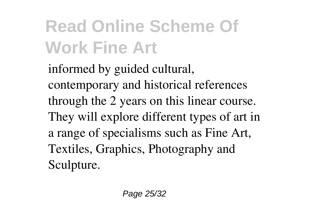informed by guided cultural, contemporary and historical references through the 2 years on this linear course. They will explore different types of art in a range of specialisms such as Fine Art, Textiles, Graphics, Photography and Sculpture.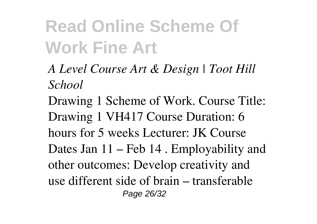- *A Level Course Art & Design | Toot Hill School*
- Drawing 1 Scheme of Work. Course Title: Drawing 1 VH417 Course Duration: 6 hours for 5 weeks Lecturer: JK Course Dates Jan 11 – Feb 14 . Employability and other outcomes: Develop creativity and use different side of brain – transferable Page 26/32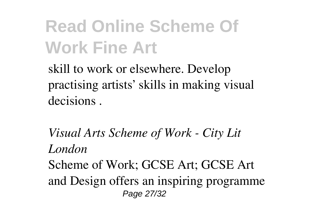skill to work or elsewhere. Develop practising artists' skills in making visual decisions .

*Visual Arts Scheme of Work - City Lit London*

Scheme of Work; GCSE Art; GCSE Art and Design offers an inspiring programme Page 27/32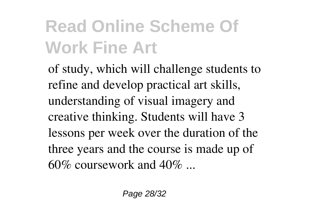of study, which will challenge students to refine and develop practical art skills, understanding of visual imagery and creative thinking. Students will have 3 lessons per week over the duration of the three years and the course is made up of 60% coursework and 40% ...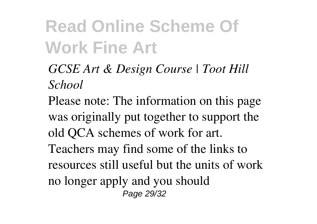- *GCSE Art & Design Course | Toot Hill School*
- Please note: The information on this page was originally put together to support the old QCA schemes of work for art. Teachers may find some of the links to resources still useful but the units of work no longer apply and you should Page 29/32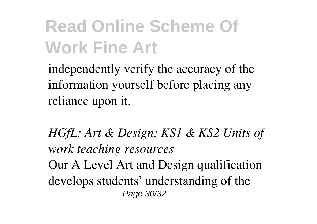independently verify the accuracy of the information yourself before placing any reliance upon it.

*HGfL: Art & Design: KS1 & KS2 Units of work teaching resources* Our A Level Art and Design qualification develops students' understanding of the Page 30/32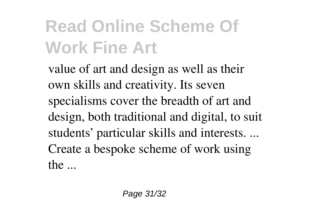value of art and design as well as their own skills and creativity. Its seven specialisms cover the breadth of art and design, both traditional and digital, to suit students' particular skills and interests. ... Create a bespoke scheme of work using the ...